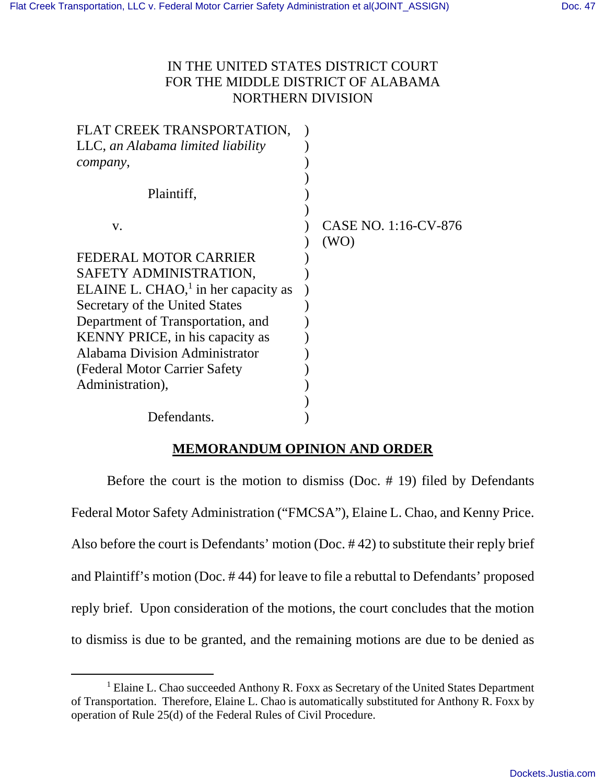# IN THE UNITED STATES DISTRICT COURT FOR THE MIDDLE DISTRICT OF ALABAMA NORTHERN DIVISION

| FLAT CREEK TRANSPORTATION,                       |                      |
|--------------------------------------------------|----------------------|
| LLC, an Alabama limited liability                |                      |
| company,                                         |                      |
|                                                  |                      |
| Plaintiff,                                       |                      |
|                                                  |                      |
| V.                                               | CASE NO. 1:16-CV-876 |
|                                                  | (WO)                 |
| FEDERAL MOTOR CARRIER                            |                      |
| SAFETY ADMINISTRATION,                           |                      |
| ELAINE L. CHAO, $\frac{1}{1}$ in her capacity as |                      |
| Secretary of the United States                   |                      |
| Department of Transportation, and                |                      |
| <b>KENNY PRICE</b> , in his capacity as          |                      |
| Alabama Division Administrator                   |                      |
| (Federal Motor Carrier Safety)                   |                      |
| Administration),                                 |                      |
|                                                  |                      |
| Defendants.                                      |                      |

### **MEMORANDUM OPINION AND ORDER**

 Before the court is the motion to dismiss (Doc. # 19) filed by Defendants Federal Motor Safety Administration ("FMCSA"), Elaine L. Chao, and Kenny Price. Also before the court is Defendants' motion (Doc. # 42) to substitute their reply brief and Plaintiff's motion (Doc. # 44) for leave to file a rebuttal to Defendants' proposed reply brief. Upon consideration of the motions, the court concludes that the motion to dismiss is due to be granted, and the remaining motions are due to be denied as

<sup>&</sup>lt;sup>1</sup> Elaine L. Chao succeeded Anthony R. Foxx as Secretary of the United States Department of Transportation. Therefore, Elaine L. Chao is automatically substituted for Anthony R. Foxx by operation of Rule 25(d) of the Federal Rules of Civil Procedure.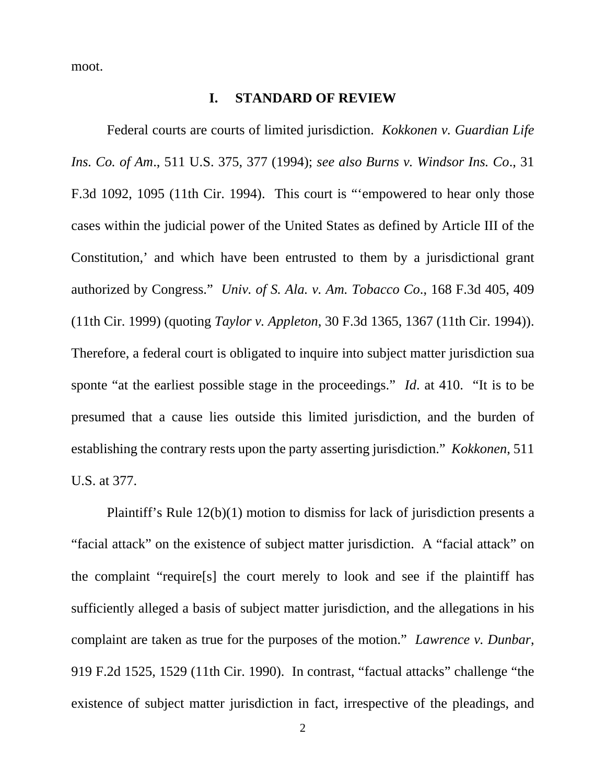moot.

#### **I. STANDARD OF REVIEW**

 Federal courts are courts of limited jurisdiction. *Kokkonen v. Guardian Life Ins. Co. of Am*., 511 U.S. 375, 377 (1994); *see also Burns v. Windsor Ins. Co*., 31 F.3d 1092, 1095 (11th Cir. 1994). This court is "'empowered to hear only those cases within the judicial power of the United States as defined by Article III of the Constitution,' and which have been entrusted to them by a jurisdictional grant authorized by Congress." *Univ. of S. Ala. v. Am. Tobacco Co*., 168 F.3d 405, 409 (11th Cir. 1999) (quoting *Taylor v. Appleton*, 30 F.3d 1365, 1367 (11th Cir. 1994)). Therefore, a federal court is obligated to inquire into subject matter jurisdiction sua sponte "at the earliest possible stage in the proceedings." *Id*. at 410. "It is to be presumed that a cause lies outside this limited jurisdiction, and the burden of establishing the contrary rests upon the party asserting jurisdiction." *Kokkonen*, 511 U.S. at 377.

 Plaintiff's Rule 12(b)(1) motion to dismiss for lack of jurisdiction presents a "facial attack" on the existence of subject matter jurisdiction. A "facial attack" on the complaint "require[s] the court merely to look and see if the plaintiff has sufficiently alleged a basis of subject matter jurisdiction, and the allegations in his complaint are taken as true for the purposes of the motion." *Lawrence v. Dunbar*, 919 F.2d 1525, 1529 (11th Cir. 1990). In contrast, "factual attacks" challenge "the existence of subject matter jurisdiction in fact, irrespective of the pleadings, and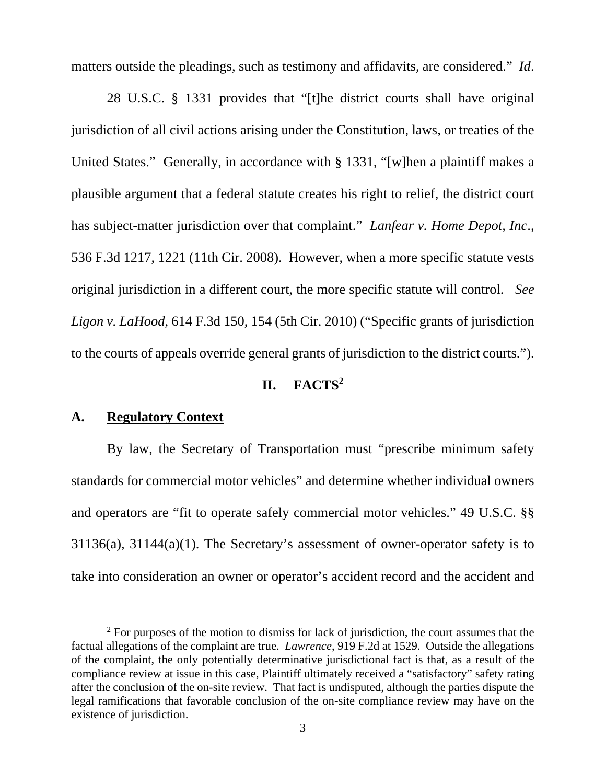matters outside the pleadings, such as testimony and affidavits, are considered." *Id*.

 28 U.S.C. § 1331 provides that "[t]he district courts shall have original jurisdiction of all civil actions arising under the Constitution, laws, or treaties of the United States." Generally, in accordance with § 1331, "[w]hen a plaintiff makes a plausible argument that a federal statute creates his right to relief, the district court has subject-matter jurisdiction over that complaint." *Lanfear v. Home Depot, Inc*., 536 F.3d 1217, 1221 (11th Cir. 2008). However, when a more specific statute vests original jurisdiction in a different court, the more specific statute will control. *See Ligon v. LaHood*, 614 F.3d 150, 154 (5th Cir. 2010) ("Specific grants of jurisdiction to the courts of appeals override general grants of jurisdiction to the district courts.").

#### **II. FACTS<sup>2</sup>**

### **A. Regulatory Context**

 $\overline{a}$ 

 By law, the Secretary of Transportation must "prescribe minimum safety standards for commercial motor vehicles" and determine whether individual owners and operators are "fit to operate safely commercial motor vehicles." 49 U.S.C. §§ 31136(a), 31144(a)(1). The Secretary's assessment of owner-operator safety is to take into consideration an owner or operator's accident record and the accident and

 $2^2$  For purposes of the motion to dismiss for lack of jurisdiction, the court assumes that the factual allegations of the complaint are true. *Lawrence*, 919 F.2d at 1529. Outside the allegations of the complaint, the only potentially determinative jurisdictional fact is that, as a result of the compliance review at issue in this case, Plaintiff ultimately received a "satisfactory" safety rating after the conclusion of the on-site review. That fact is undisputed, although the parties dispute the legal ramifications that favorable conclusion of the on-site compliance review may have on the existence of jurisdiction.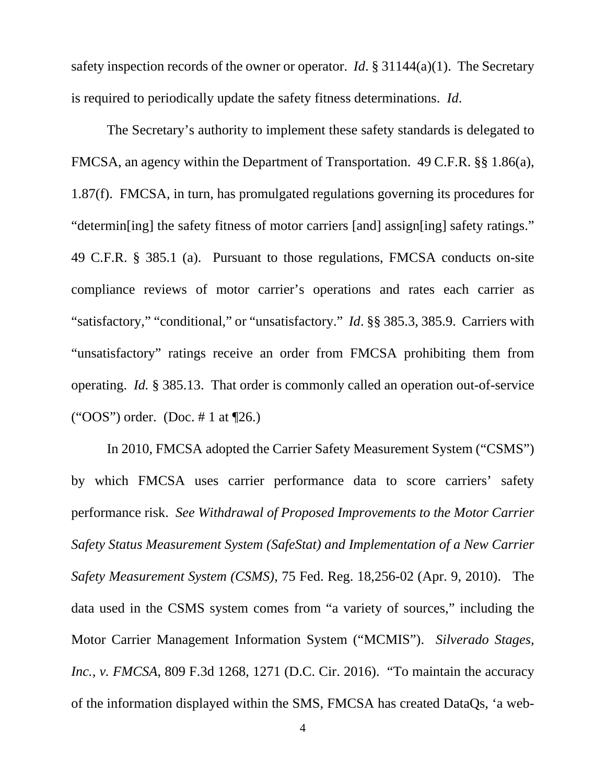safety inspection records of the owner or operator. *Id*. § 31144(a)(1). The Secretary is required to periodically update the safety fitness determinations. *Id*.

 The Secretary's authority to implement these safety standards is delegated to FMCSA, an agency within the Department of Transportation. 49 C.F.R. §§ 1.86(a), 1.87(f). FMCSA, in turn, has promulgated regulations governing its procedures for "determin[ing] the safety fitness of motor carriers [and] assign[ing] safety ratings." 49 C.F.R. § 385.1 (a). Pursuant to those regulations, FMCSA conducts on-site compliance reviews of motor carrier's operations and rates each carrier as "satisfactory," "conditional," or "unsatisfactory." *Id*. §§ 385.3, 385.9. Carriers with "unsatisfactory" ratings receive an order from FMCSA prohibiting them from operating. *Id.* § 385.13. That order is commonly called an operation out-of-service ("OOS") order. (Doc. # 1 at  $\P$ 26.)

 In 2010, FMCSA adopted the Carrier Safety Measurement System ("CSMS") by which FMCSA uses carrier performance data to score carriers' safety performance risk. *See Withdrawal of Proposed Improvements to the Motor Carrier Safety Status Measurement System (SafeStat) and Implementation of a New Carrier Safety Measurement System (CSMS)*, 75 Fed. Reg. 18,256-02 (Apr. 9, 2010). The data used in the CSMS system comes from "a variety of sources," including the Motor Carrier Management Information System ("MCMIS"). *Silverado Stages, Inc., v. FMCSA*, 809 F.3d 1268, 1271 (D.C. Cir. 2016). "To maintain the accuracy of the information displayed within the SMS, FMCSA has created DataQs, 'a web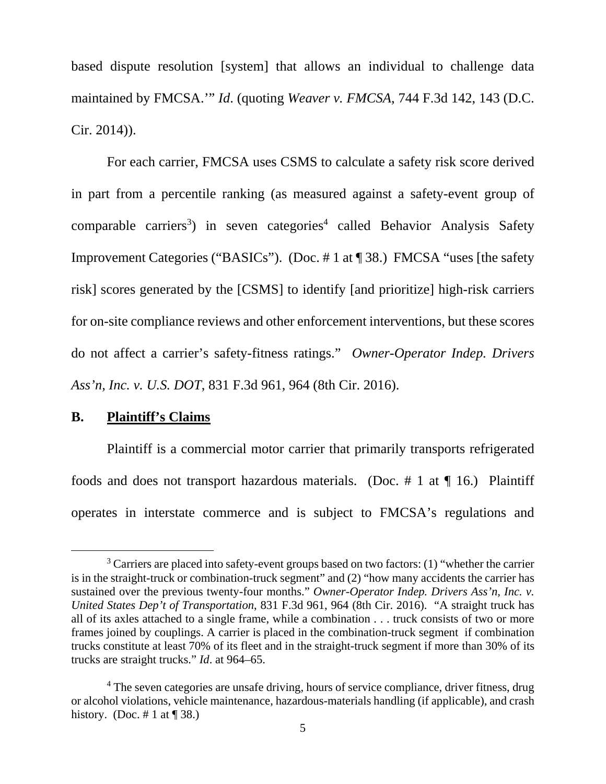based dispute resolution [system] that allows an individual to challenge data maintained by FMCSA.'" *Id*. (quoting *Weaver v. FMCSA*, 744 F.3d 142, 143 (D.C. Cir. 2014)).

 For each carrier, FMCSA uses CSMS to calculate a safety risk score derived in part from a percentile ranking (as measured against a safety-event group of comparable carriers<sup>3</sup>) in seven categories<sup>4</sup> called Behavior Analysis Safety Improvement Categories ("BASICs"). (Doc. # 1 at ¶ 38.) FMCSA "uses [the safety risk] scores generated by the [CSMS] to identify [and prioritize] high-risk carriers for on-site compliance reviews and other enforcement interventions, but these scores do not affect a carrier's safety-fitness ratings." *Owner-Operator Indep. Drivers Ass'n, Inc. v. U.S. DOT*, 831 F.3d 961, 964 (8th Cir. 2016).

### **B. Plaintiff's Claims**

 $\overline{a}$ 

 Plaintiff is a commercial motor carrier that primarily transports refrigerated foods and does not transport hazardous materials. (Doc.  $\#$  1 at  $\P$  16.) Plaintiff operates in interstate commerce and is subject to FMCSA's regulations and

 $3$  Carriers are placed into safety-event groups based on two factors: (1) "whether the carrier is in the straight-truck or combination-truck segment" and (2) "how many accidents the carrier has sustained over the previous twenty-four months." *Owner-Operator Indep. Drivers Ass'n, Inc. v. United States Dep't of Transportation*, 831 F.3d 961, 964 (8th Cir. 2016). "A straight truck has all of its axles attached to a single frame, while a combination . . . truck consists of two or more frames joined by couplings. A carrier is placed in the combination-truck segment if combination trucks constitute at least 70% of its fleet and in the straight-truck segment if more than 30% of its trucks are straight trucks." *Id*. at 964–65.

<sup>&</sup>lt;sup>4</sup> The seven categories are unsafe driving, hours of service compliance, driver fitness, drug or alcohol violations, vehicle maintenance, hazardous-materials handling (if applicable), and crash history. (Doc.  $\# 1$  at  $\P$  38.)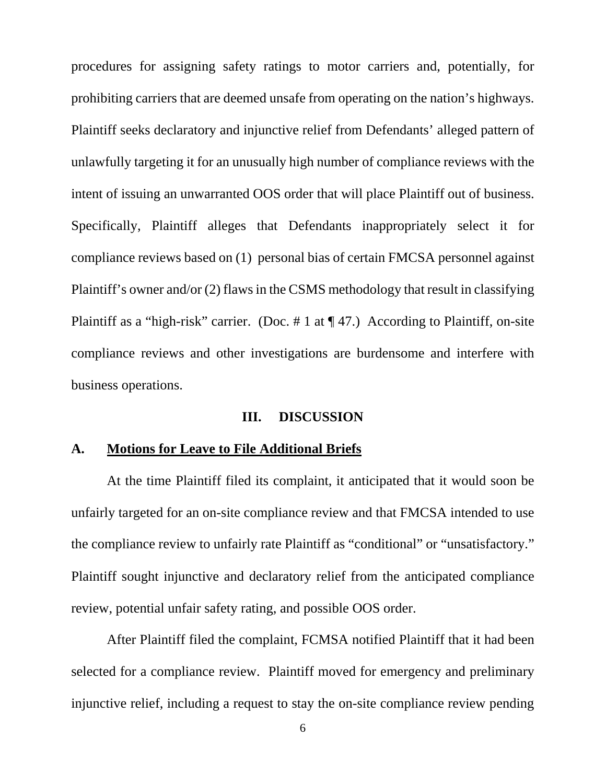procedures for assigning safety ratings to motor carriers and, potentially, for prohibiting carriers that are deemed unsafe from operating on the nation's highways. Plaintiff seeks declaratory and injunctive relief from Defendants' alleged pattern of unlawfully targeting it for an unusually high number of compliance reviews with the intent of issuing an unwarranted OOS order that will place Plaintiff out of business. Specifically, Plaintiff alleges that Defendants inappropriately select it for compliance reviews based on (1) personal bias of certain FMCSA personnel against Plaintiff's owner and/or (2) flaws in the CSMS methodology that result in classifying Plaintiff as a "high-risk" carrier. (Doc. # 1 at  $\P$  47.) According to Plaintiff, on-site compliance reviews and other investigations are burdensome and interfere with business operations.

#### **III. DISCUSSION**

#### **A. Motions for Leave to File Additional Briefs**

 At the time Plaintiff filed its complaint, it anticipated that it would soon be unfairly targeted for an on-site compliance review and that FMCSA intended to use the compliance review to unfairly rate Plaintiff as "conditional" or "unsatisfactory." Plaintiff sought injunctive and declaratory relief from the anticipated compliance review, potential unfair safety rating, and possible OOS order.

 After Plaintiff filed the complaint, FCMSA notified Plaintiff that it had been selected for a compliance review. Plaintiff moved for emergency and preliminary injunctive relief, including a request to stay the on-site compliance review pending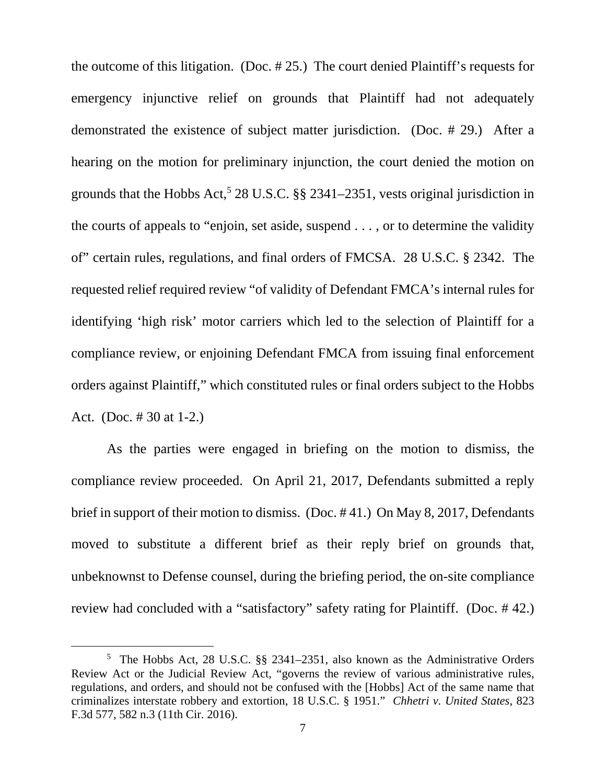the outcome of this litigation. (Doc. # 25.) The court denied Plaintiff's requests for emergency injunctive relief on grounds that Plaintiff had not adequately demonstrated the existence of subject matter jurisdiction. (Doc. # 29.) After a hearing on the motion for preliminary injunction, the court denied the motion on grounds that the Hobbs Act,<sup>5</sup> 28 U.S.C.  $\S$ § 2341–2351, vests original jurisdiction in the courts of appeals to "enjoin, set aside, suspend . . . , or to determine the validity of" certain rules, regulations, and final orders of FMCSA. 28 U.S.C. § 2342. The requested relief required review "of validity of Defendant FMCA's internal rules for identifying 'high risk' motor carriers which led to the selection of Plaintiff for a compliance review, or enjoining Defendant FMCA from issuing final enforcement orders against Plaintiff," which constituted rules or final orders subject to the Hobbs Act. (Doc. # 30 at 1-2.)

 As the parties were engaged in briefing on the motion to dismiss, the compliance review proceeded. On April 21, 2017, Defendants submitted a reply brief in support of their motion to dismiss. (Doc. # 41.) On May 8, 2017, Defendants moved to substitute a different brief as their reply brief on grounds that, unbeknownst to Defense counsel, during the briefing period, the on-site compliance review had concluded with a "satisfactory" safety rating for Plaintiff. (Doc. # 42.)

<sup>5</sup> The Hobbs Act, 28 U.S.C. §§ 2341–2351, also known as the Administrative Orders Review Act or the Judicial Review Act, "governs the review of various administrative rules, regulations, and orders, and should not be confused with the [Hobbs] Act of the same name that criminalizes interstate robbery and extortion, 18 U.S.C. § 1951." *Chhetri v. United States*, 823 F.3d 577, 582 n.3 (11th Cir. 2016).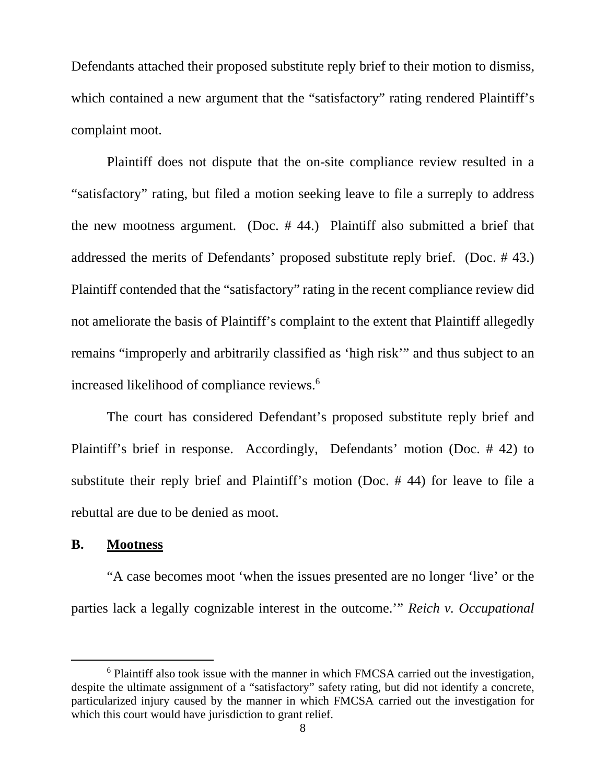Defendants attached their proposed substitute reply brief to their motion to dismiss, which contained a new argument that the "satisfactory" rating rendered Plaintiff's complaint moot.

 Plaintiff does not dispute that the on-site compliance review resulted in a "satisfactory" rating, but filed a motion seeking leave to file a surreply to address the new mootness argument. (Doc. # 44.) Plaintiff also submitted a brief that addressed the merits of Defendants' proposed substitute reply brief. (Doc. # 43.) Plaintiff contended that the "satisfactory" rating in the recent compliance review did not ameliorate the basis of Plaintiff's complaint to the extent that Plaintiff allegedly remains "improperly and arbitrarily classified as 'high risk'" and thus subject to an increased likelihood of compliance reviews.<sup>6</sup>

 The court has considered Defendant's proposed substitute reply brief and Plaintiff's brief in response. Accordingly, Defendants' motion (Doc. # 42) to substitute their reply brief and Plaintiff's motion (Doc. # 44) for leave to file a rebuttal are due to be denied as moot.

#### **B. Mootness**

 $\overline{a}$ 

 "A case becomes moot 'when the issues presented are no longer 'live' or the parties lack a legally cognizable interest in the outcome.'" *Reich v. Occupational* 

<sup>&</sup>lt;sup>6</sup> Plaintiff also took issue with the manner in which FMCSA carried out the investigation, despite the ultimate assignment of a "satisfactory" safety rating, but did not identify a concrete, particularized injury caused by the manner in which FMCSA carried out the investigation for which this court would have jurisdiction to grant relief.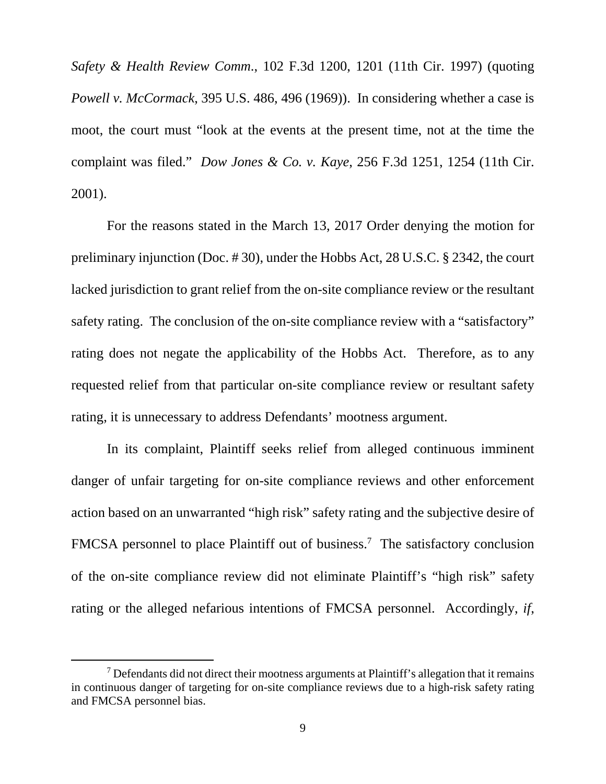*Safety & Health Review Comm*., 102 F.3d 1200, 1201 (11th Cir. 1997) (quoting *Powell v. McCormack*, 395 U.S. 486, 496 (1969)). In considering whether a case is moot, the court must "look at the events at the present time, not at the time the complaint was filed." *Dow Jones & Co. v. Kaye*, 256 F.3d 1251, 1254 (11th Cir. 2001).

 For the reasons stated in the March 13, 2017 Order denying the motion for preliminary injunction (Doc. # 30), under the Hobbs Act, 28 U.S.C. § 2342, the court lacked jurisdiction to grant relief from the on-site compliance review or the resultant safety rating. The conclusion of the on-site compliance review with a "satisfactory" rating does not negate the applicability of the Hobbs Act. Therefore, as to any requested relief from that particular on-site compliance review or resultant safety rating, it is unnecessary to address Defendants' mootness argument.

 In its complaint, Plaintiff seeks relief from alleged continuous imminent danger of unfair targeting for on-site compliance reviews and other enforcement action based on an unwarranted "high risk" safety rating and the subjective desire of FMCSA personnel to place Plaintiff out of business.<sup>7</sup> The satisfactory conclusion of the on-site compliance review did not eliminate Plaintiff's "high risk" safety rating or the alleged nefarious intentions of FMCSA personnel. Accordingly, *if*,

 $<sup>7</sup>$  Defendants did not direct their mootness arguments at Plaintiff's allegation that it remains</sup> in continuous danger of targeting for on-site compliance reviews due to a high-risk safety rating and FMCSA personnel bias.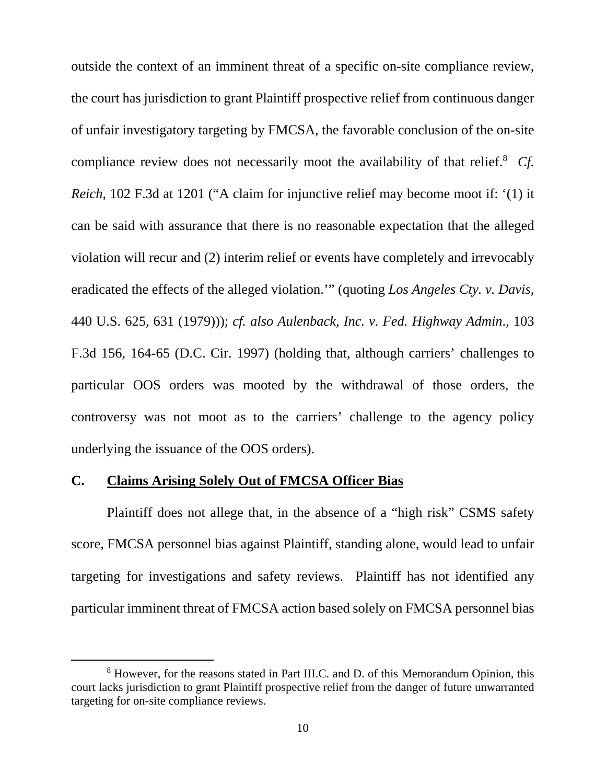outside the context of an imminent threat of a specific on-site compliance review, the court has jurisdiction to grant Plaintiff prospective relief from continuous danger of unfair investigatory targeting by FMCSA, the favorable conclusion of the on-site compliance review does not necessarily moot the availability of that relief.<sup>8</sup> Cf. *Reich*, 102 F.3d at 1201 ("A claim for injunctive relief may become moot if: '(1) it can be said with assurance that there is no reasonable expectation that the alleged violation will recur and (2) interim relief or events have completely and irrevocably eradicated the effects of the alleged violation.'" (quoting *Los Angeles Cty. v. Davis*, 440 U.S. 625, 631 (1979))); *cf. also Aulenback, Inc. v. Fed. Highway Admin*., 103 F.3d 156, 164-65 (D.C. Cir. 1997) (holding that, although carriers' challenges to particular OOS orders was mooted by the withdrawal of those orders, the controversy was not moot as to the carriers' challenge to the agency policy underlying the issuance of the OOS orders).

### **C. Claims Arising Solely Out of FMCSA Officer Bias**

 $\overline{a}$ 

 Plaintiff does not allege that, in the absence of a "high risk" CSMS safety score, FMCSA personnel bias against Plaintiff, standing alone, would lead to unfair targeting for investigations and safety reviews. Plaintiff has not identified any particular imminent threat of FMCSA action based solely on FMCSA personnel bias

<sup>&</sup>lt;sup>8</sup> However, for the reasons stated in Part III.C. and D. of this Memorandum Opinion, this court lacks jurisdiction to grant Plaintiff prospective relief from the danger of future unwarranted targeting for on-site compliance reviews.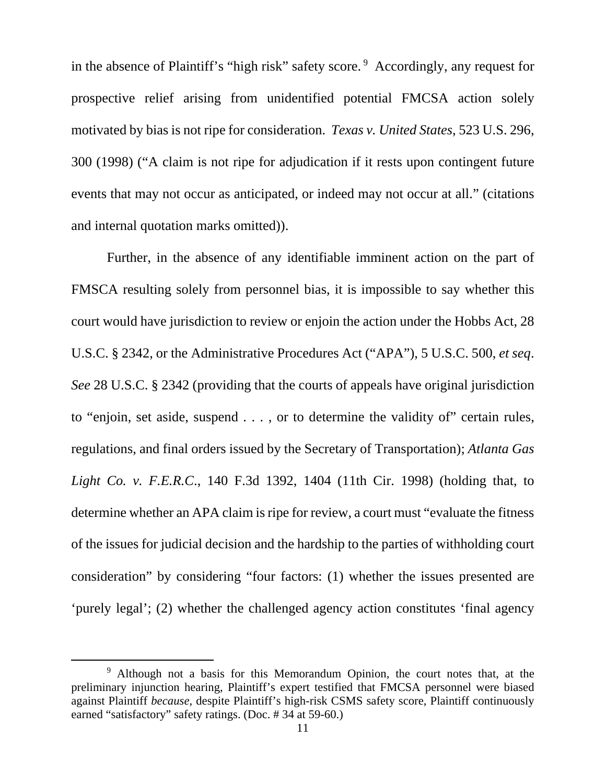in the absence of Plaintiff's "high risk" safety score.  $9$  Accordingly, any request for prospective relief arising from unidentified potential FMCSA action solely motivated by bias is not ripe for consideration. *Texas v. United States*, 523 U.S. 296, 300 (1998) ("A claim is not ripe for adjudication if it rests upon contingent future events that may not occur as anticipated, or indeed may not occur at all." (citations and internal quotation marks omitted)).

 Further, in the absence of any identifiable imminent action on the part of FMSCA resulting solely from personnel bias, it is impossible to say whether this court would have jurisdiction to review or enjoin the action under the Hobbs Act, 28 U.S.C. § 2342, or the Administrative Procedures Act ("APA"), 5 U.S.C. 500, *et seq*. *See* 28 U.S.C. § 2342 (providing that the courts of appeals have original jurisdiction to "enjoin, set aside, suspend . . . , or to determine the validity of" certain rules, regulations, and final orders issued by the Secretary of Transportation); *Atlanta Gas Light Co. v. F.E.R.C*., 140 F.3d 1392, 1404 (11th Cir. 1998) (holding that, to determine whether an APA claim is ripe for review, a court must "evaluate the fitness of the issues for judicial decision and the hardship to the parties of withholding court consideration" by considering "four factors: (1) whether the issues presented are 'purely legal'; (2) whether the challenged agency action constitutes 'final agency

<sup>&</sup>lt;sup>9</sup> Although not a basis for this Memorandum Opinion, the court notes that, at the preliminary injunction hearing, Plaintiff's expert testified that FMCSA personnel were biased against Plaintiff *because*, despite Plaintiff's high-risk CSMS safety score, Plaintiff continuously earned "satisfactory" safety ratings. (Doc. # 34 at 59-60.)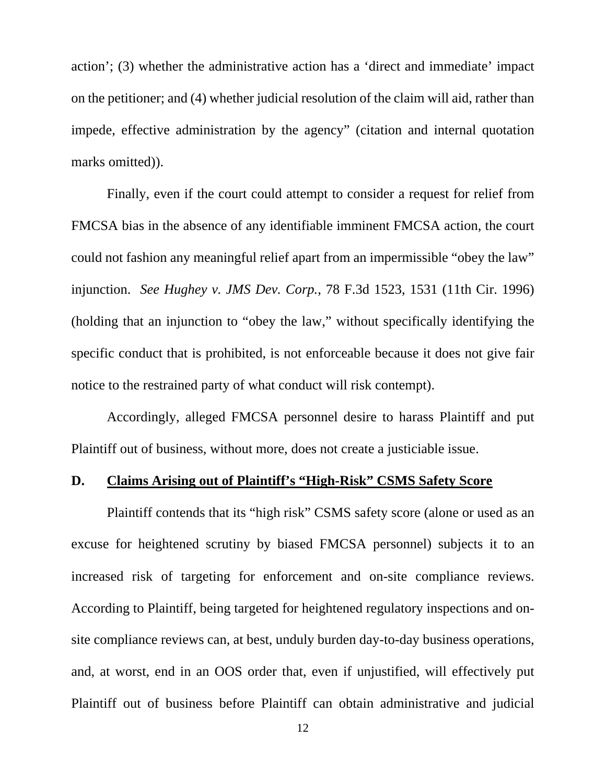action'; (3) whether the administrative action has a 'direct and immediate' impact on the petitioner; and (4) whether judicial resolution of the claim will aid, rather than impede, effective administration by the agency" (citation and internal quotation marks omitted)).

 Finally, even if the court could attempt to consider a request for relief from FMCSA bias in the absence of any identifiable imminent FMCSA action, the court could not fashion any meaningful relief apart from an impermissible "obey the law" injunction. *See Hughey v. JMS Dev. Corp.*, 78 F.3d 1523, 1531 (11th Cir. 1996) (holding that an injunction to "obey the law," without specifically identifying the specific conduct that is prohibited, is not enforceable because it does not give fair notice to the restrained party of what conduct will risk contempt).

 Accordingly, alleged FMCSA personnel desire to harass Plaintiff and put Plaintiff out of business, without more, does not create a justiciable issue.

### **D. Claims Arising out of Plaintiff's "High-Risk" CSMS Safety Score**

 Plaintiff contends that its "high risk" CSMS safety score (alone or used as an excuse for heightened scrutiny by biased FMCSA personnel) subjects it to an increased risk of targeting for enforcement and on-site compliance reviews. According to Plaintiff, being targeted for heightened regulatory inspections and onsite compliance reviews can, at best, unduly burden day-to-day business operations, and, at worst, end in an OOS order that, even if unjustified, will effectively put Plaintiff out of business before Plaintiff can obtain administrative and judicial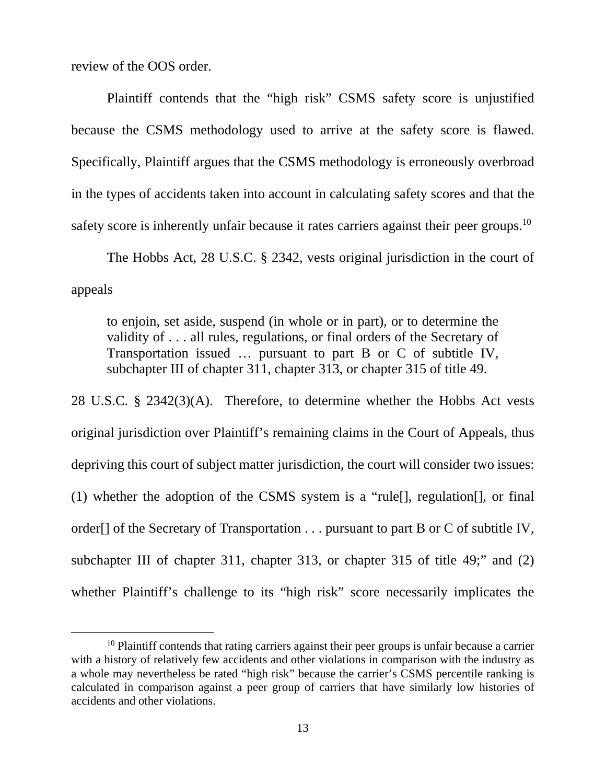review of the OOS order.

 $\overline{a}$ 

 Plaintiff contends that the "high risk" CSMS safety score is unjustified because the CSMS methodology used to arrive at the safety score is flawed. Specifically, Plaintiff argues that the CSMS methodology is erroneously overbroad in the types of accidents taken into account in calculating safety scores and that the safety score is inherently unfair because it rates carriers against their peer groups.<sup>10</sup>

 The Hobbs Act, 28 U.S.C. § 2342, vests original jurisdiction in the court of appeals

to enjoin, set aside, suspend (in whole or in part), or to determine the validity of . . . all rules, regulations, or final orders of the Secretary of Transportation issued … pursuant to part B or C of subtitle IV, subchapter III of chapter 311, chapter 313, or chapter 315 of title 49.

28 U.S.C. § 2342(3)(A). Therefore, to determine whether the Hobbs Act vests original jurisdiction over Plaintiff's remaining claims in the Court of Appeals, thus depriving this court of subject matter jurisdiction, the court will consider two issues: (1) whether the adoption of the CSMS system is a "rule[], regulation[], or final order[] of the Secretary of Transportation . . . pursuant to part B or C of subtitle IV, subchapter III of chapter 311, chapter 313, or chapter 315 of title 49;" and (2) whether Plaintiff's challenge to its "high risk" score necessarily implicates the

 $10$  Plaintiff contends that rating carriers against their peer groups is unfair because a carrier with a history of relatively few accidents and other violations in comparison with the industry as a whole may nevertheless be rated "high risk" because the carrier's CSMS percentile ranking is calculated in comparison against a peer group of carriers that have similarly low histories of accidents and other violations.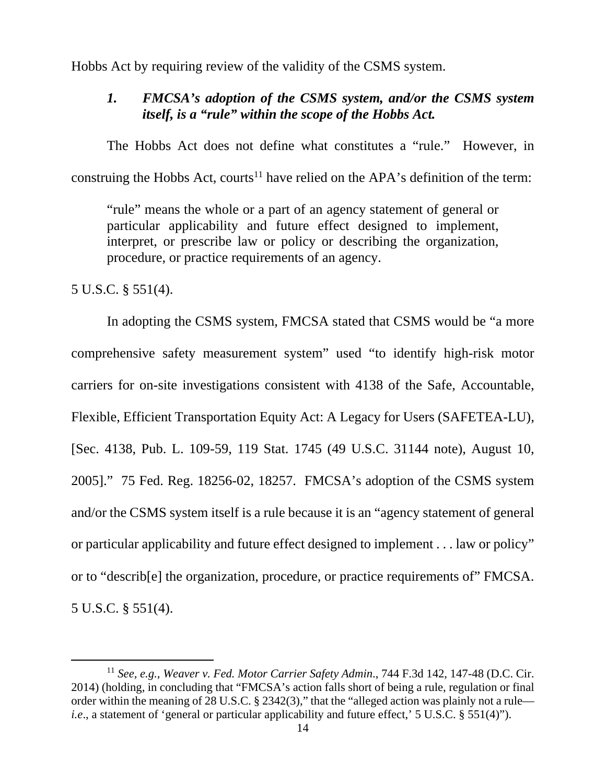Hobbs Act by requiring review of the validity of the CSMS system.

# *1. FMCSA's adoption of the CSMS system, and/or the CSMS system itself, is a "rule" within the scope of the Hobbs Act.*

 The Hobbs Act does not define what constitutes a "rule." However, in construing the Hobbs Act, courts<sup>11</sup> have relied on the APA's definition of the term:

"rule" means the whole or a part of an agency statement of general or particular applicability and future effect designed to implement, interpret, or prescribe law or policy or describing the organization, procedure, or practice requirements of an agency.

5 U.S.C. § 551(4).

-

 In adopting the CSMS system, FMCSA stated that CSMS would be "a more comprehensive safety measurement system" used "to identify high-risk motor carriers for on-site investigations consistent with 4138 of the Safe, Accountable, Flexible, Efficient Transportation Equity Act: A Legacy for Users (SAFETEA-LU), [Sec. 4138, Pub. L. 109-59, 119 Stat. 1745 (49 U.S.C. 31144 note), August 10, 2005]." 75 Fed. Reg. 18256-02, 18257. FMCSA's adoption of the CSMS system and/or the CSMS system itself is a rule because it is an "agency statement of general or particular applicability and future effect designed to implement . . . law or policy" or to "describ[e] the organization, procedure, or practice requirements of" FMCSA. 5 U.S.C. § 551(4).

<sup>11</sup> *See, e.g., Weaver v. Fed. Motor Carrier Safety Admin*., 744 F.3d 142, 147-48 (D.C. Cir. 2014) (holding, in concluding that "FMCSA's action falls short of being a rule, regulation or final order within the meaning of 28 U.S.C. § 2342(3)," that the "alleged action was plainly not a rule *i.e.*, a statement of 'general or particular applicability and future effect,' 5 U.S.C. § 551(4)").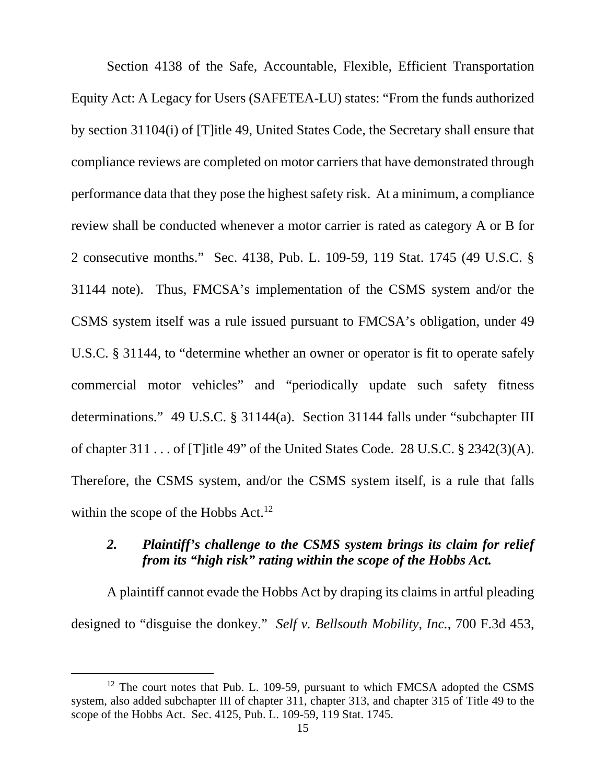Section 4138 of the Safe, Accountable, Flexible, Efficient Transportation Equity Act: A Legacy for Users (SAFETEA-LU) states: "From the funds authorized by section 31104(i) of [T]itle 49, United States Code, the Secretary shall ensure that compliance reviews are completed on motor carriers that have demonstrated through performance data that they pose the highest safety risk. At a minimum, a compliance review shall be conducted whenever a motor carrier is rated as category A or B for 2 consecutive months." Sec. 4138, Pub. L. 109-59, 119 Stat. 1745 (49 U.S.C. § 31144 note). Thus, FMCSA's implementation of the CSMS system and/or the CSMS system itself was a rule issued pursuant to FMCSA's obligation, under 49 U.S.C. § 31144, to "determine whether an owner or operator is fit to operate safely commercial motor vehicles" and "periodically update such safety fitness determinations." 49 U.S.C. § 31144(a). Section 31144 falls under "subchapter III of chapter 311 . . . of [T]itle 49" of the United States Code. 28 U.S.C. § 2342(3)(A). Therefore, the CSMS system, and/or the CSMS system itself, is a rule that falls within the scope of the Hobbs  $Act.<sup>12</sup>$ 

### *2. Plaintiff's challenge to the CSMS system brings its claim for relief from its "high risk" rating within the scope of the Hobbs Act.*

 A plaintiff cannot evade the Hobbs Act by draping its claims in artful pleading designed to "disguise the donkey." *Self v. Bellsouth Mobility, Inc.*, 700 F.3d 453,

<sup>&</sup>lt;sup>12</sup> The court notes that Pub. L. 109-59, pursuant to which FMCSA adopted the CSMS system, also added subchapter III of chapter 311, chapter 313, and chapter 315 of Title 49 to the scope of the Hobbs Act. Sec. 4125, Pub. L. 109-59, 119 Stat. 1745.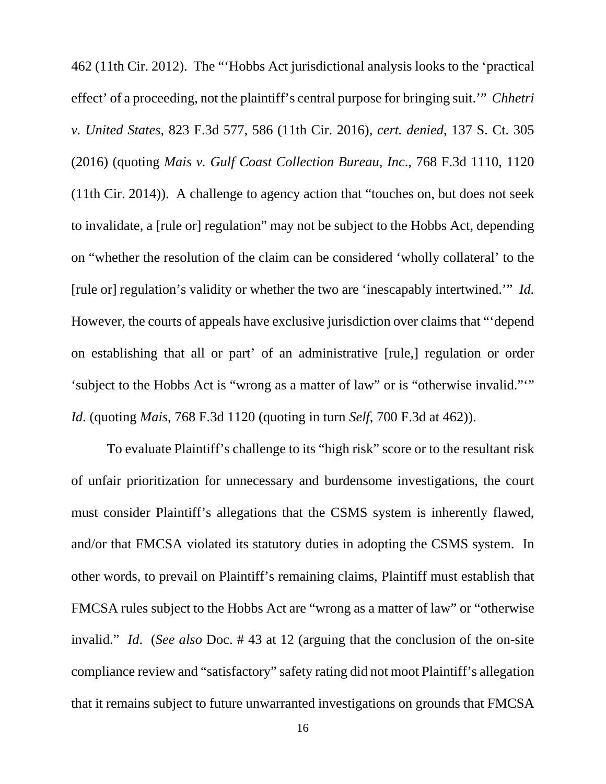462 (11th Cir. 2012). The "'Hobbs Act jurisdictional analysis looks to the 'practical effect' of a proceeding, not the plaintiff's central purpose for bringing suit.'" *Chhetri v. United States*, 823 F.3d 577, 586 (11th Cir. 2016), *cert. denied*, 137 S. Ct. 305 (2016) (quoting *Mais v. Gulf Coast Collection Bureau, Inc*., 768 F.3d 1110, 1120 (11th Cir. 2014)). A challenge to agency action that "touches on, but does not seek to invalidate, a [rule or] regulation" may not be subject to the Hobbs Act, depending on "whether the resolution of the claim can be considered 'wholly collateral' to the [rule or] regulation's validity or whether the two are 'inescapably intertwined.'" *Id.* However, the courts of appeals have exclusive jurisdiction over claims that "'depend on establishing that all or part' of an administrative [rule,] regulation or order 'subject to the Hobbs Act is "wrong as a matter of law" or is "otherwise invalid.""" *Id.* (quoting *Mais*, 768 F.3d 1120 (quoting in turn *Self*, 700 F.3d at 462)).

 To evaluate Plaintiff's challenge to its "high risk" score or to the resultant risk of unfair prioritization for unnecessary and burdensome investigations, the court must consider Plaintiff's allegations that the CSMS system is inherently flawed, and/or that FMCSA violated its statutory duties in adopting the CSMS system. In other words, to prevail on Plaintiff's remaining claims, Plaintiff must establish that FMCSA rules subject to the Hobbs Act are "wrong as a matter of law" or "otherwise invalid." *Id*. (*See also* Doc. # 43 at 12 (arguing that the conclusion of the on-site compliance review and "satisfactory" safety rating did not moot Plaintiff's allegation that it remains subject to future unwarranted investigations on grounds that FMCSA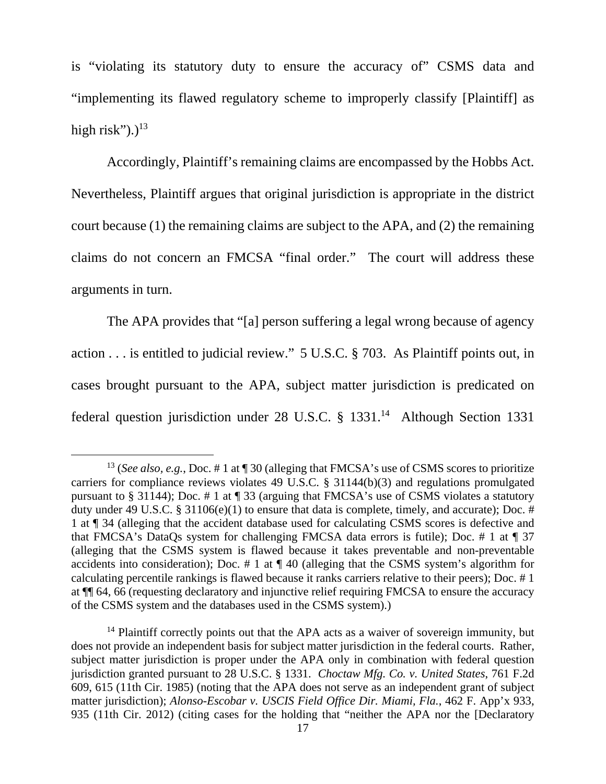is "violating its statutory duty to ensure the accuracy of" CSMS data and "implementing its flawed regulatory scheme to improperly classify [Plaintiff] as high risk").) $^{13}$ 

 Accordingly, Plaintiff's remaining claims are encompassed by the Hobbs Act. Nevertheless, Plaintiff argues that original jurisdiction is appropriate in the district court because (1) the remaining claims are subject to the APA, and (2) the remaining claims do not concern an FMCSA "final order." The court will address these arguments in turn.

 The APA provides that "[a] person suffering a legal wrong because of agency action . . . is entitled to judicial review." 5 U.S.C. § 703. As Plaintiff points out, in cases brought pursuant to the APA, subject matter jurisdiction is predicated on federal question jurisdiction under 28 U.S.C. § 1331.<sup>14</sup> Although Section 1331

<sup>&</sup>lt;sup>13</sup> (*See also, e.g., Doc.* # 1 at ¶ 30 (alleging that FMCSA's use of CSMS scores to prioritize carriers for compliance reviews violates 49 U.S.C. § 31144(b)(3) and regulations promulgated pursuant to § 31144); Doc. # 1 at ¶ 33 (arguing that FMCSA's use of CSMS violates a statutory duty under 49 U.S.C. § 31106(e)(1) to ensure that data is complete, timely, and accurate); Doc. # 1 at ¶ 34 (alleging that the accident database used for calculating CSMS scores is defective and that FMCSA's DataQs system for challenging FMCSA data errors is futile); Doc. # 1 at ¶ 37 (alleging that the CSMS system is flawed because it takes preventable and non-preventable accidents into consideration); Doc. # 1 at ¶ 40 (alleging that the CSMS system's algorithm for calculating percentile rankings is flawed because it ranks carriers relative to their peers); Doc. # 1 at ¶¶ 64, 66 (requesting declaratory and injunctive relief requiring FMCSA to ensure the accuracy of the CSMS system and the databases used in the CSMS system).)

 $14$  Plaintiff correctly points out that the APA acts as a waiver of sovereign immunity, but does not provide an independent basis for subject matter jurisdiction in the federal courts. Rather, subject matter jurisdiction is proper under the APA only in combination with federal question jurisdiction granted pursuant to 28 U.S.C. § 1331. *Choctaw Mfg. Co. v. United States*, 761 F.2d 609, 615 (11th Cir. 1985) (noting that the APA does not serve as an independent grant of subject matter jurisdiction); *Alonso-Escobar v. USCIS Field Office Dir. Miami, Fla.*, 462 F. App'x 933, 935 (11th Cir. 2012) (citing cases for the holding that "neither the APA nor the [Declaratory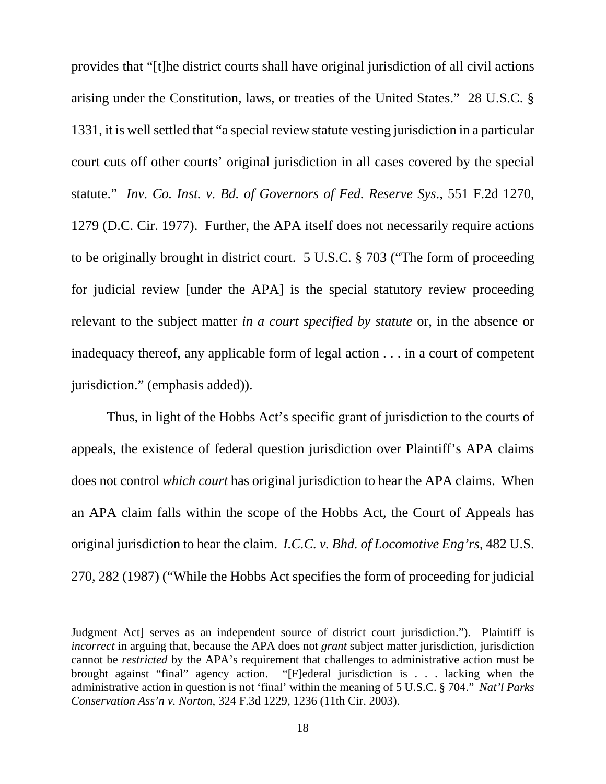provides that "[t]he district courts shall have original jurisdiction of all civil actions arising under the Constitution, laws, or treaties of the United States." 28 U.S.C. § 1331, it is well settled that "a special review statute vesting jurisdiction in a particular court cuts off other courts' original jurisdiction in all cases covered by the special statute." *Inv. Co. Inst. v. Bd. of Governors of Fed. Reserve Sys*., 551 F.2d 1270, 1279 (D.C. Cir. 1977). Further, the APA itself does not necessarily require actions to be originally brought in district court. 5 U.S.C. § 703 ("The form of proceeding for judicial review [under the APA] is the special statutory review proceeding relevant to the subject matter *in a court specified by statute* or, in the absence or inadequacy thereof, any applicable form of legal action . . . in a court of competent jurisdiction." (emphasis added)).

 Thus, in light of the Hobbs Act's specific grant of jurisdiction to the courts of appeals, the existence of federal question jurisdiction over Plaintiff's APA claims does not control *which court* has original jurisdiction to hear the APA claims. When an APA claim falls within the scope of the Hobbs Act, the Court of Appeals has original jurisdiction to hear the claim. *I.C.C. v. Bhd. of Locomotive Eng'rs*, 482 U.S. 270, 282 (1987) ("While the Hobbs Act specifies the form of proceeding for judicial

Judgment Act] serves as an independent source of district court jurisdiction."). Plaintiff is *incorrect* in arguing that, because the APA does not *grant* subject matter jurisdiction, jurisdiction cannot be *restricted* by the APA's requirement that challenges to administrative action must be brought against "final" agency action. "[F]ederal jurisdiction is . . . lacking when the " $[Fe<sub>F</sub>]$  against Final intervals in  $\lambda$  . . . lacking when the administrative action in question is not 'final' within the meaning of 5 U.S.C. § 704." *Nat'l Parks Conservation Ass'n v. Norton*, 324 F.3d 1229, 1236 (11th Cir. 2003).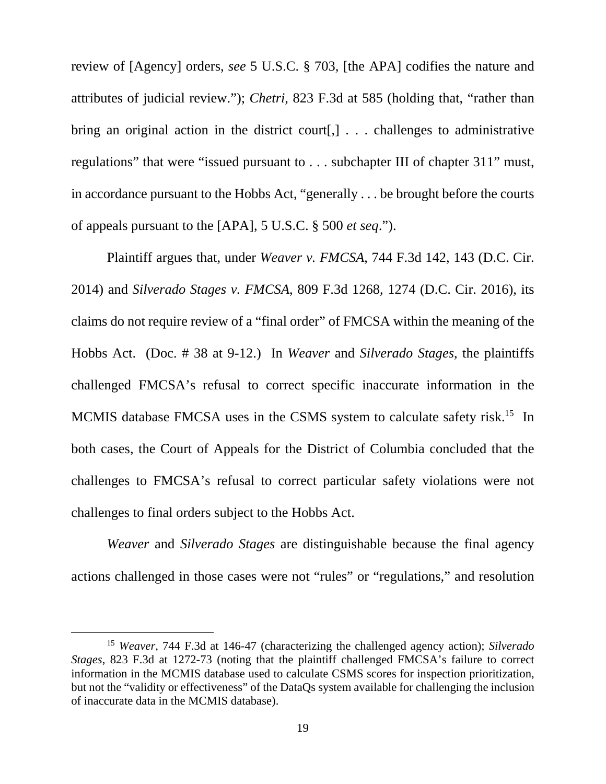review of [Agency] orders, *see* 5 U.S.C. § 703, [the APA] codifies the nature and attributes of judicial review."); *Chetri*, 823 F.3d at 585 (holding that, "rather than bring an original action in the district court[,] . . . challenges to administrative regulations" that were "issued pursuant to . . . subchapter III of chapter 311" must, in accordance pursuant to the Hobbs Act, "generally . . . be brought before the courts of appeals pursuant to the [APA], 5 U.S.C. § 500 *et seq*.").

 Plaintiff argues that, under *Weaver v. FMCSA*, 744 F.3d 142, 143 (D.C. Cir. 2014) and *Silverado Stages v. FMCSA*, 809 F.3d 1268, 1274 (D.C. Cir. 2016), its claims do not require review of a "final order" of FMCSA within the meaning of the Hobbs Act. (Doc. # 38 at 9-12.) In *Weaver* and *Silverado Stages*, the plaintiffs challenged FMCSA's refusal to correct specific inaccurate information in the MCMIS database FMCSA uses in the CSMS system to calculate safety risk.<sup>15</sup> In both cases, the Court of Appeals for the District of Columbia concluded that the challenges to FMCSA's refusal to correct particular safety violations were not challenges to final orders subject to the Hobbs Act.

*Weaver* and *Silverado Stages* are distinguishable because the final agency actions challenged in those cases were not "rules" or "regulations," and resolution

<sup>15</sup> *Weaver*, 744 F.3d at 146-47 (characterizing the challenged agency action); *Silverado Stages*, 823 F.3d at 1272-73 (noting that the plaintiff challenged FMCSA's failure to correct information in the MCMIS database used to calculate CSMS scores for inspection prioritization, but not the "validity or effectiveness" of the DataQs system available for challenging the inclusion of inaccurate data in the MCMIS database).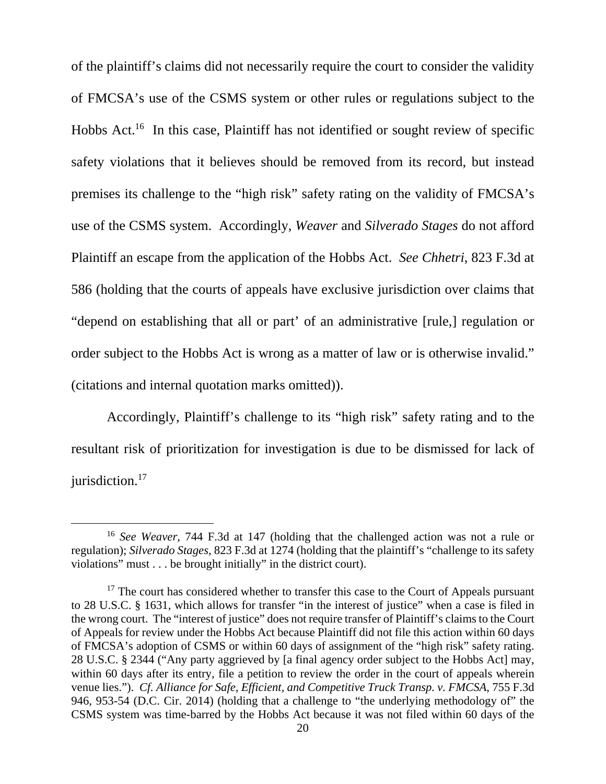of the plaintiff's claims did not necessarily require the court to consider the validity of FMCSA's use of the CSMS system or other rules or regulations subject to the Hobbs Act.<sup>16</sup> In this case, Plaintiff has not identified or sought review of specific safety violations that it believes should be removed from its record, but instead premises its challenge to the "high risk" safety rating on the validity of FMCSA's use of the CSMS system. Accordingly, *Weaver* and *Silverado Stages* do not afford Plaintiff an escape from the application of the Hobbs Act. *See Chhetri*, 823 F.3d at 586 (holding that the courts of appeals have exclusive jurisdiction over claims that "depend on establishing that all or part' of an administrative [rule,] regulation or order subject to the Hobbs Act is wrong as a matter of law or is otherwise invalid." (citations and internal quotation marks omitted)).

 Accordingly, Plaintiff's challenge to its "high risk" safety rating and to the resultant risk of prioritization for investigation is due to be dismissed for lack of  $i$ urisdiction.<sup>17</sup>

<sup>16</sup> *See Weaver*, 744 F.3d at 147 (holding that the challenged action was not a rule or regulation); *Silverado Stages*, 823 F.3d at 1274 (holding that the plaintiff's "challenge to its safety violations" must . . . be brought initially" in the district court).

 $17$  The court has considered whether to transfer this case to the Court of Appeals pursuant to 28 U.S.C. § 1631, which allows for transfer "in the interest of justice" when a case is filed in the wrong court. The "interest of justice" does not require transfer of Plaintiff's claims to the Court of Appeals for review under the Hobbs Act because Plaintiff did not file this action within 60 days of FMCSA's adoption of CSMS or within 60 days of assignment of the "high risk" safety rating. 28 U.S.C. § 2344 ("Any party aggrieved by [a final agency order subject to the Hobbs Act] may, within 60 days after its entry, file a petition to review the order in the court of appeals wherein venue lies."). *Cf. Alliance for Safe, Efficient, and Competitive Truck Transp. v. FMCSA*, 755 F.3d 946, 953-54 (D.C. Cir. 2014) (holding that a challenge to "the underlying methodology of" the CSMS system was time-barred by the Hobbs Act because it was not filed within 60 days of the